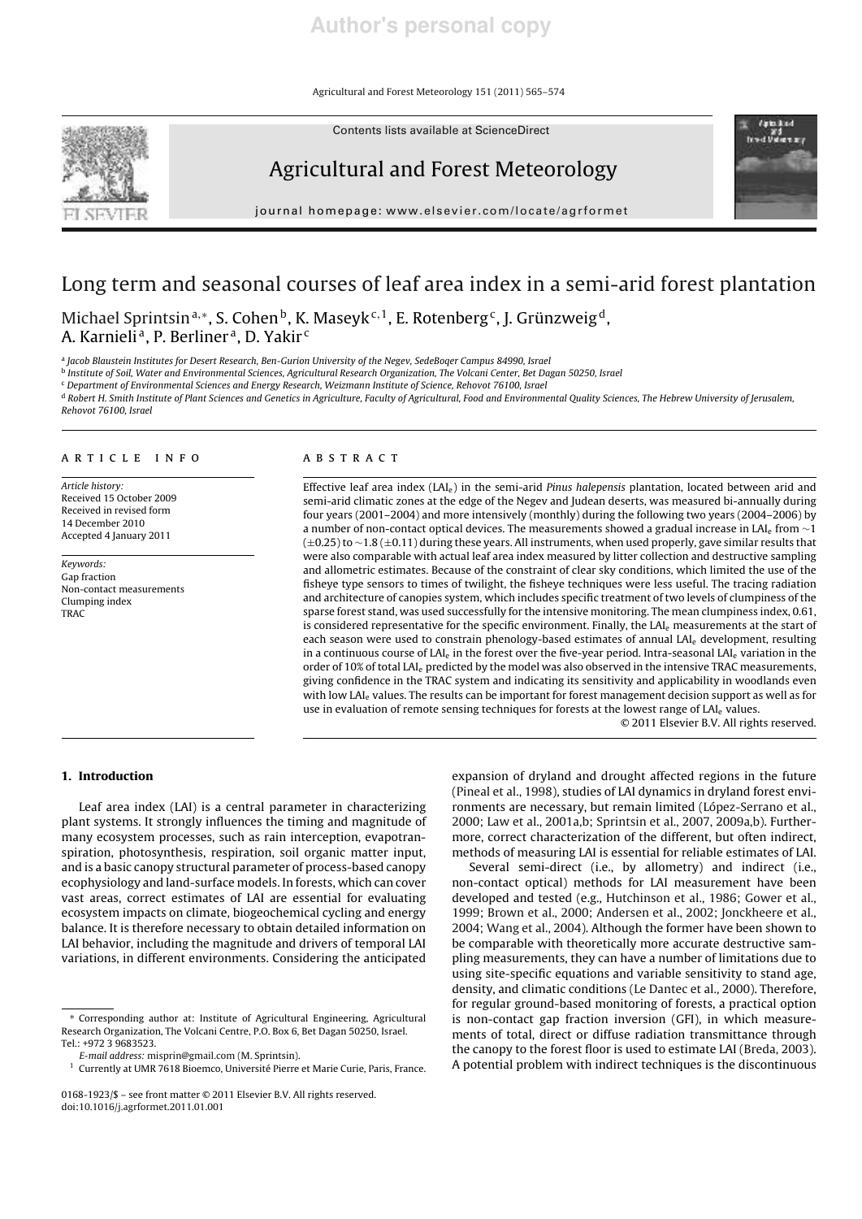Agricultural and Forest Meteorology 151 (2011) 565–574

Contents lists available at ScienceDirect



# Agricultural and Forest Meteorology

journal homepage: www.elsevier.com/locate/agrformet

# Long term and seasonal courses of leaf area index in a semi-arid forest plantation

Michael Sprintsinª,\*, S. Cohen<sup>b</sup>, K. Maseyk<sup>c, 1</sup>, E. Rotenberg<sup>c</sup>, J. Grünzweig<sup>d</sup>, A. Karnielia, P. Berlinera, D. Yakir<sup>c</sup>

a *Jacob Blaustein Institutes for Desert Research, Ben-Gurion University of the Negev, SedeBoqer Campus 84990, Israel*

b *Institute of Soil, Water and Environmental Sciences, Agricultural Research Organization, The Volcani Center, Bet Dagan 50250, Israel*

<sup>c</sup> *Department of Environmental Sciences and Energy Research, Weizmann Institute of Science, Rehovot 76100, Israel*

<sup>d</sup> *Robert H. Smith Institute of Plant Sciences and Genetics in Agriculture, Faculty of Agricultural, Food and Environmental Quality Sciences, The Hebrew University of Jerusalem, Rehovot 76100, Israel*

#### article info

*Article history:* Received 15 October 2009 Received in revised form 14 December 2010 Accepted 4 January 2011

*Keywords:* Gap fraction Non-contact measurements Clumping index **TRAC** 

# ABSTRACT

Effective leaf area index (LAIe) in the semi-arid *Pinus halepensis* plantation, located between arid and semi-arid climatic zones at the edge of the Negev and Judean deserts, was measured bi-annually during four years (2001–2004) and more intensively (monthly) during the following two years (2004–2006) by a number of non-contact optical devices. The measurements showed a gradual increase in LAI<sup>e</sup> from ∼1 (±0.25) to ∼1.8 (±0.11) during these years. All instruments, when used properly, gave similar results that were also comparable with actual leaf area index measured by litter collection and destructive sampling and allometric estimates. Because of the constraint of clear sky conditions, which limited the use of the fisheye type sensors to times of twilight, the fisheye techniques were less useful. The tracing radiation and architecture of canopies system, which includes specific treatment of two levels of clumpiness of the sparse forest stand, was used successfully for the intensive monitoring. The mean clumpiness index, 0.61, is considered representative for the specific environment. Finally, the LAI<sub>e</sub> measurements at the start of each season were used to constrain phenology-based estimates of annual LAI<sup>e</sup> development, resulting in a continuous course of LAI<sub>e</sub> in the forest over the five-year period. Intra-seasonal LAI<sub>e</sub> variation in the order of 10% of total LAI<sup>e</sup> predicted by the model was also observed in the intensive TRAC measurements, giving confidence in the TRAC system and indicating its sensitivity and applicability in woodlands even with low LAI<sub>e</sub> values. The results can be important for forest management decision support as well as for use in evaluation of remote sensing techniques for forests at the lowest range of LAI<sub>e</sub> values.

© 2011 Elsevier B.V. All rights reserved.

trad ve

# 1. Introduction

Leaf area index (LAI) is a central parameter in characterizing plant systems. It strongly influences the timing and magnitude of many ecosystem processes, such as rain interception, evapotranspiration, photosynthesis, respiration, soil organic matter input, and is a basic canopy structural parameter of process-based canopy ecophysiology and land-surface models. In forests, which can cover vast areas, correct estimates of LAI are essential for evaluating ecosystem impacts on climate, biogeochemical cycling and energy balance. It is therefore necessary to obtain detailed information on LAI behavior, including the magnitude and drivers of temporal LAI variations, in different environments. Considering the anticipated

expansion of dryland and drought affected regions in the future (Pineal et al., 1998), studies of LAI dynamics in dryland forest environments are necessary, but remain limited (López-Serrano et al., 2000; Law et al., 2001a,b; Sprintsin et al., 2007, 2009a,b). Furthermore, correct characterization of the different, but often indirect, methods of measuring LAI is essential for reliable estimates of LAI.

Several semi-direct (i.e., by allometry) and indirect (i.e., non-contact optical) methods for LAI measurement have been developed and tested (e.g., Hutchinson et al., 1986; Gower et al., 1999; Brown et al., 2000; Andersen et al., 2002; Jonckheere et al., 2004; Wang et al., 2004). Although the former have been shown to be comparable with theoretically more accurate destructive sampling measurements, they can have a number of limitations due to using site-specific equations and variable sensitivity to stand age, density, and climatic conditions (Le Dantec et al., 2000). Therefore, for regular ground-based monitoring of forests, a practical option is non-contact gap fraction inversion (GFI), in which measurements of total, direct or diffuse radiation transmittance through the canopy to the forest floor is used to estimate LAI (Breda, 2003). A potential problem with indirect techniques is the discontinuous

<sup>∗</sup> Corresponding author at: Institute of Agricultural Engineering, Agricultural Research Organization, The Volcani Centre, P.O. Box 6, Bet Dagan 50250, Israel. Tel.: +972 3 9683523.

*E-mail address:* misprin@gmail.com (M. Sprintsin).

<sup>&</sup>lt;sup>1</sup> Currently at UMR 7618 Bioemco, Université Pierre et Marie Curie, Paris, France.

<sup>0168-1923/\$ –</sup> see front matter © 2011 Elsevier B.V. All rights reserved. doi:10.1016/j.agrformet.2011.01.001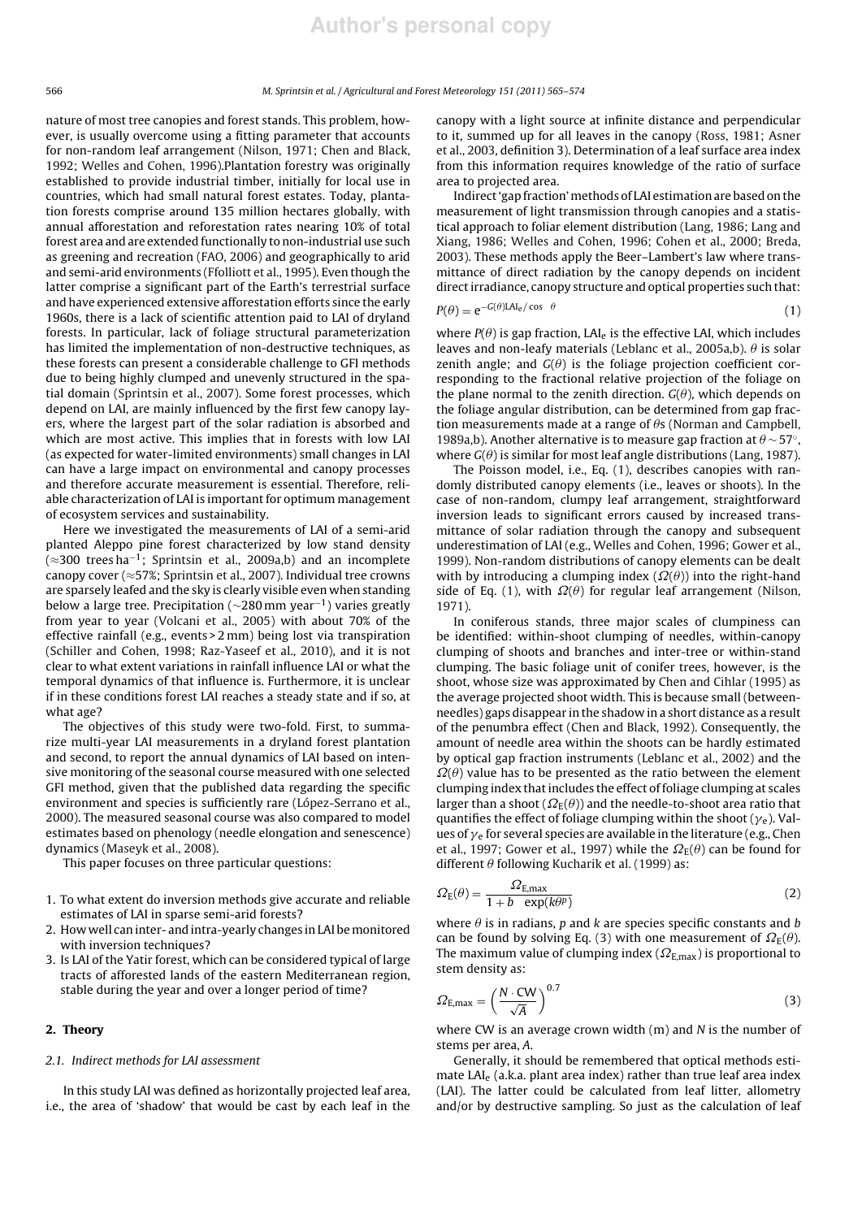nature of most tree canopies and forest stands. This problem, however, is usually overcome using a fitting parameter that accounts for non-random leaf arrangement (Nilson, 1971; Chen and Black, 1992; Welles and Cohen, 1996).Plantation forestry was originally established to provide industrial timber, initially for local use in countries, which had small natural forest estates. Today, plantation forests comprise around 135 million hectares globally, with annual afforestation and reforestation rates nearing 10% of total forest area and are extended functionally to non-industrial use such as greening and recreation (FAO, 2006) and geographically to arid and semi-arid environments (Ffolliott et al., 1995). Even though the latter comprise a significant part of the Earth's terrestrial surface and have experienced extensive afforestation efforts since the early 1960s, there is a lack of scientific attention paid to LAI of dryland forests. In particular, lack of foliage structural parameterization has limited the implementation of non-destructive techniques, as these forests can present a considerable challenge to GFI methods due to being highly clumped and unevenly structured in the spatial domain (Sprintsin et al., 2007). Some forest processes, which depend on LAI, are mainly influenced by the first few canopy layers, where the largest part of the solar radiation is absorbed and which are most active. This implies that in forests with low LAI (as expected for water-limited environments) small changes in LAI can have a large impact on environmental and canopy processes and therefore accurate measurement is essential. Therefore, reliable characterization of LAI is important for optimum management of ecosystem services and sustainability.

Here we investigated the measurements of LAI of a semi-arid planted Aleppo pine forest characterized by low stand density (≈300 trees ha−<sup>1</sup> ; Sprintsin et al., 2009a,b) and an incomplete canopy cover (≈57%; Sprintsin et al., 2007). Individual tree crowns are sparsely leafed and the sky is clearly visible even when standing below a large tree. Precipitation (∼280 mm year−<sup>1</sup> ) varies greatly from year to year (Volcani et al., 2005) with about 70% of the effective rainfall (e.g., events > 2 mm) being lost via transpiration (Schiller and Cohen, 1998; Raz-Yaseef et al., 2010), and it is not clear to what extent variations in rainfall influence LAI or what the temporal dynamics of that influence is. Furthermore, it is unclear if in these conditions forest LAI reaches a steady state and if so, at what age?

The objectives of this study were two-fold. First, to summarize multi-year LAI measurements in a dryland forest plantation and second, to report the annual dynamics of LAI based on intensive monitoring of the seasonal course measured with one selected GFI method, given that the published data regarding the specific environment and species is sufficiently rare (López-Serrano et al., 2000). The measured seasonal course was also compared to model estimates based on phenology (needle elongation and senescence) dynamics (Maseyk et al., 2008).

This paper focuses on three particular questions:

- 1. To what extent do inversion methods give accurate and reliable estimates of LAI in sparse semi-arid forests?
- 2. How well can inter- and intra-yearly changes in LAI be monitored with inversion techniques?
- 3. Is LAI of the Yatir forest, which can be considered typical of large tracts of afforested lands of the eastern Mediterranean region, stable during the year and over a longer period of time?

## 2. Theory

## *2.1. Indirect methods for LAI assessment*

In this study LAI was defined as horizontally projected leaf area, i.e., the area of 'shadow' that would be cast by each leaf in the canopy with a light source at infinite distance and perpendicular to it, summed up for all leaves in the canopy (Ross, 1981; Asner et al., 2003, definition 3). Determination of a leaf surface area index from this information requires knowledge of the ratio of surface area to projected area.

Indirect 'gap fraction' methods of LAI estimation are based on the measurement of light transmission through canopies and a statistical approach to foliar element distribution (Lang, 1986; Lang and Xiang, 1986; Welles and Cohen, 1996; Cohen et al., 2000; Breda, 2003). These methods apply the Beer–Lambert's law where transmittance of direct radiation by the canopy depends on incident direct irradiance, canopy structure and optical properties such that:

$$
P(\theta) = e^{-G(\theta)LAl_e/\cos \theta} \tag{1}
$$

where  $P(\theta)$  is gap fraction, LAI<sub>e</sub> is the effective LAI, which includes leaves and non-leafy materials (Leblanc et al., 2005a,b).  $\theta$  is solar zenith angle; and  $G(\theta)$  is the foliage projection coefficient corresponding to the fractional relative projection of the foliage on the plane normal to the zenith direction.  $G(\theta)$ , which depends on the foliage angular distribution, can be determined from gap fraction measurements made at a range of  $\theta$ s (Norman and Campbell, 1989a,b). Another alternative is to measure gap fraction at  $\theta$  ~ 57°, where  $G(\theta)$  is similar for most leaf angle distributions (Lang, 1987).

The Poisson model, i.e., Eq. (1), describes canopies with randomly distributed canopy elements (i.e., leaves or shoots). In the case of non-random, clumpy leaf arrangement, straightforward inversion leads to significant errors caused by increased transmittance of solar radiation through the canopy and subsequent underestimation of LAI (e.g., Welles and Cohen, 1996; Gower et al., 1999). Non-random distributions of canopy elements can be dealt with by introducing a clumping index ( $\Omega(\theta)$ ) into the right-hand side of Eq. (1), with  $\Omega(\theta)$  for regular leaf arrangement (Nilson, 1971).

In coniferous stands, three major scales of clumpiness can be identified: within-shoot clumping of needles, within-canopy clumping of shoots and branches and inter-tree or within-stand clumping. The basic foliage unit of conifer trees, however, is the shoot, whose size was approximated by Chen and Cihlar (1995) as the average projected shoot width. This is because small (betweenneedles) gaps disappear in the shadow in a short distance as a result of the penumbra effect (Chen and Black, 1992). Consequently, the amount of needle area within the shoots can be hardly estimated by optical gap fraction instruments (Leblanc et al., 2002) and the  $\Omega(\theta)$  value has to be presented as the ratio between the element clumping index that includes the effect of foliage clumping at scales larger than a shoot ( $\Omega_{\rm E}(\theta)$ ) and the needle-to-shoot area ratio that quantifies the effect of foliage clumping within the shoot  $(\gamma_e)$ . Values of  $\gamma_e$  for several species are available in the literature (e.g., Chen et al., 1997; Gower et al., 1997) while the  $\Omega_F(\theta)$  can be found for different  $\theta$  following Kucharik et al. (1999) as:

$$
\Omega_{\rm E}(\theta) = \frac{\Omega_{\rm E,max}}{1 + b \exp(k\theta^p)}
$$
\n(2)

where  $\theta$  is in radians,  $p$  and  $k$  are species specific constants and  $b$ can be found by solving Eq. (3) with one measurement of  $\Omega_{\rm E}(\theta)$ . The maximum value of clumping index ( $\Omega_{\text{E,max}}$ ) is proportional to stem density as:

$$
\Omega_{\rm E,max} = \left(\frac{N \cdot \rm CW}{\sqrt{A}}\right)^{0.7} \tag{3}
$$

where CW is an average crown width (m) and *N* is the number of stems per area, *A*.

Generally, it should be remembered that optical methods estimate LAI<sub>e</sub> (a.k.a. plant area index) rather than true leaf area index (LAI). The latter could be calculated from leaf litter, allometry and/or by destructive sampling. So just as the calculation of leaf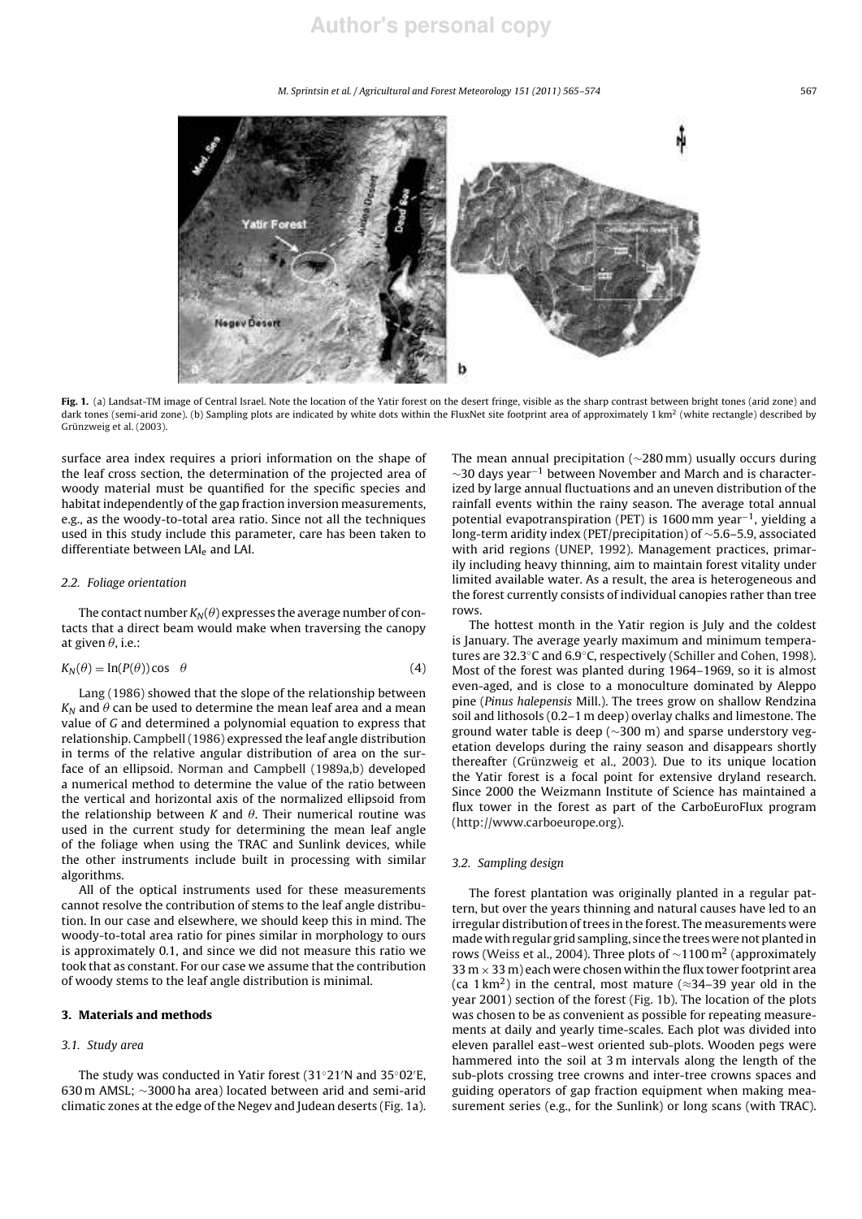*M. Sprintsin et al. / Agricultural and Forest Meteorology 151 (2011) 565–574* 567



Fig. 1. (a) Landsat-TM image of Central Israel. Note the location of the Yatir forest on the desert fringe, visible as the sharp contrast between bright tones (arid zone) and dark tones (semi-arid zone). (b) Sampling plots are indicated by white dots within the FluxNet site footprint area of approximately 1 km<sup>2</sup> (white rectangle) described by Grünzweig et al. (2003).

surface area index requires a priori information on the shape of the leaf cross section, the determination of the projected area of woody material must be quantified for the specific species and habitat independently of the gap fraction inversion measurements, e.g., as the woody-to-total area ratio. Since not all the techniques used in this study include this parameter, care has been taken to differentiate between LAI<sub>e</sub> and LAI.

## *2.2. Foliage orientation*

The contact number  $K_N(\theta)$  expresses the average number of contacts that a direct beam would make when traversing the canopy at given  $\theta$ , i.e.:

$$
K_N(\theta) = \ln(P(\theta)) \cos \theta \tag{4}
$$

Lang (1986) showed that the slope of the relationship between  $K_N$  and  $\theta$  can be used to determine the mean leaf area and a mean value of *G* and determined a polynomial equation to express that relationship. Campbell (1986) expressed the leaf angle distribution in terms of the relative angular distribution of area on the surface of an ellipsoid. Norman and Campbell (1989a,b) developed a numerical method to determine the value of the ratio between the vertical and horizontal axis of the normalized ellipsoid from the relationship between  $K$  and  $\theta$ . Their numerical routine was used in the current study for determining the mean leaf angle of the foliage when using the TRAC and Sunlink devices, while the other instruments include built in processing with similar algorithms.

All of the optical instruments used for these measurements cannot resolve the contribution of stems to the leaf angle distribution. In our case and elsewhere, we should keep this in mind. The woody-to-total area ratio for pines similar in morphology to ours is approximately 0.1, and since we did not measure this ratio we took that as constant. For our case we assume that the contribution of woody stems to the leaf angle distribution is minimal.

#### 3. Materials and methods

# *3.1. Study area*

The study was conducted in Yatir forest (31◦21′N and 35◦02′E, 630 m AMSL; ∼3000 ha area) located between arid and semi-arid climatic zones at the edge of the Negev and Judean deserts (Fig. 1a). The mean annual precipitation (∼280 mm) usually occurs during  $\sim$ 30 days year<sup>-1</sup> between November and March and is characterized by large annual fluctuations and an uneven distribution of the rainfall events within the rainy season. The average total annual potential evapotranspiration (PET) is 1600 mm year<sup>-1</sup>, yielding a long-term aridity index (PET/precipitation) of ∼5.6–5.9, associated with arid regions (UNEP, 1992). Management practices, primarily including heavy thinning, aim to maintain forest vitality under limited available water. As a result, the area is heterogeneous and the forest currently consists of individual canopies rather than tree rows.

The hottest month in the Yatir region is July and the coldest is January. The average yearly maximum and minimum temperatures are 32.3◦C and 6.9◦C, respectively (Schiller and Cohen, 1998). Most of the forest was planted during 1964–1969, so it is almost even-aged, and is close to a monoculture dominated by Aleppo pine (*Pinus halepensis* Mill.). The trees grow on shallow Rendzina soil and lithosols (0.2–1 m deep) overlay chalks and limestone. The ground water table is deep (∼300 m) and sparse understory vegetation develops during the rainy season and disappears shortly thereafter (Grünzweig et al., 2003). Due to its unique location the Yatir forest is a focal point for extensive dryland research. Since 2000 the Weizmann Institute of Science has maintained a flux tower in the forest as part of the CarboEuroFlux program (http://www.carboeurope.org).

## *3.2. Sampling design*

The forest plantation was originally planted in a regular pattern, but over the years thinning and natural causes have led to an irregular distribution of trees in the forest. The measurements were made with regular grid sampling, since the trees were not planted in rows (Weiss et al., 2004). Three plots of  $\sim$ 1100 m<sup>2</sup> (approximately 33 m  $\times$  33 m) each were chosen within the flux tower footprint area (ca 1 km<sup>2</sup>) in the central, most mature ( $\approx$ 34–39 year old in the year 2001) section of the forest (Fig. 1b). The location of the plots was chosen to be as convenient as possible for repeating measurements at daily and yearly time-scales. Each plot was divided into eleven parallel east–west oriented sub-plots. Wooden pegs were hammered into the soil at 3 m intervals along the length of the sub-plots crossing tree crowns and inter-tree crowns spaces and guiding operators of gap fraction equipment when making measurement series (e.g., for the Sunlink) or long scans (with TRAC).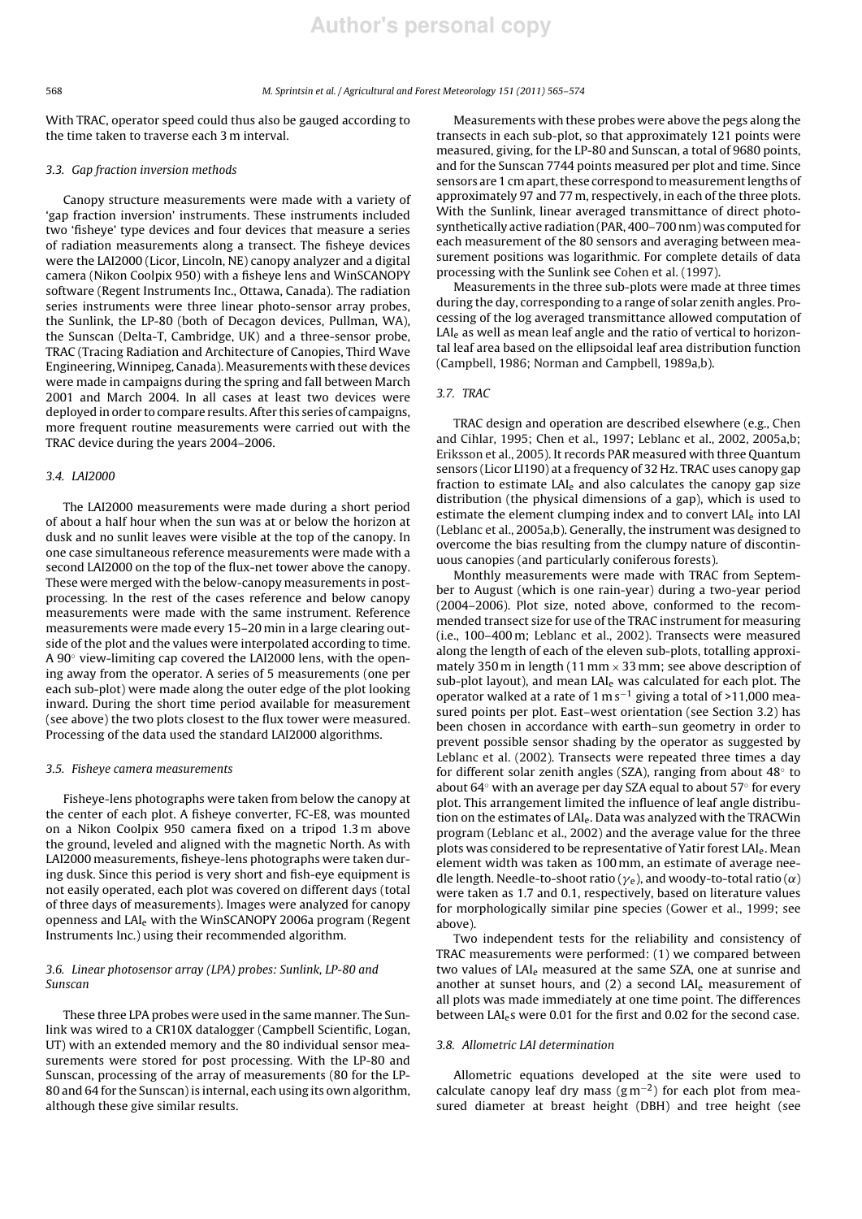# 568 *M. Sprintsin et al. / Agricultural and Forest Meteorology 151 (2011) 565–574*

With TRAC, operator speed could thus also be gauged according to the time taken to traverse each 3 m interval.

# *3.3. Gap fraction inversion methods*

Canopy structure measurements were made with a variety of 'gap fraction inversion' instruments. These instruments included two 'fisheye' type devices and four devices that measure a series of radiation measurements along a transect. The fisheye devices were the LAI2000 (Licor, Lincoln, NE) canopy analyzer and a digital camera (Nikon Coolpix 950) with a fisheye lens and WinSCANOPY software (Regent Instruments Inc., Ottawa, Canada). The radiation series instruments were three linear photo-sensor array probes, the Sunlink, the LP-80 (both of Decagon devices, Pullman, WA), the Sunscan (Delta-T, Cambridge, UK) and a three-sensor probe, TRAC (Tracing Radiation and Architecture of Canopies, Third Wave Engineering, Winnipeg, Canada). Measurements with these devices were made in campaigns during the spring and fall between March 2001 and March 2004. In all cases at least two devices were deployed in order to compare results. After this series of campaigns, more frequent routine measurements were carried out with the TRAC device during the years 2004–2006.

#### *3.4. LAI2000*

The LAI2000 measurements were made during a short period of about a half hour when the sun was at or below the horizon at dusk and no sunlit leaves were visible at the top of the canopy. In one case simultaneous reference measurements were made with a second LAI2000 on the top of the flux-net tower above the canopy. These were merged with the below-canopy measurements in postprocessing. In the rest of the cases reference and below canopy measurements were made with the same instrument. Reference measurements were made every 15–20 min in a large clearing outside of the plot and the values were interpolated according to time. A 90◦ view-limiting cap covered the LAI2000 lens, with the opening away from the operator. A series of 5 measurements (one per each sub-plot) were made along the outer edge of the plot looking inward. During the short time period available for measurement (see above) the two plots closest to the flux tower were measured. Processing of the data used the standard LAI2000 algorithms.

#### *3.5. Fisheye camera measurements*

Fisheye-lens photographs were taken from below the canopy at the center of each plot. A fisheye converter, FC-E8, was mounted on a Nikon Coolpix 950 camera fixed on a tripod 1.3 m above the ground, leveled and aligned with the magnetic North. As with LAI2000 measurements, fisheye-lens photographs were taken during dusk. Since this period is very short and fish-eye equipment is not easily operated, each plot was covered on different days (total of three days of measurements). Images were analyzed for canopy openness and LAI<sub>e</sub> with the WinSCANOPY 2006a program (Regent Instruments Inc.) using their recommended algorithm.

# *3.6. Linear photosensor array (LPA) probes: Sunlink, LP-80 and Sunscan*

These three LPA probes were used in the same manner. The Sunlink was wired to a CR10X datalogger (Campbell Scientific, Logan, UT) with an extended memory and the 80 individual sensor measurements were stored for post processing. With the LP-80 and Sunscan, processing of the array of measurements (80 for the LP-80 and 64 for the Sunscan) is internal, each using its own algorithm, although these give similar results.

Measurements with these probes were above the pegs along the transects in each sub-plot, so that approximately 121 points were measured, giving, for the LP-80 and Sunscan, a total of 9680 points, and for the Sunscan 7744 points measured per plot and time. Since sensors are 1 cm apart, these correspond to measurement lengths of approximately 97 and 77 m, respectively, in each of the three plots. With the Sunlink, linear averaged transmittance of direct photosynthetically active radiation (PAR, 400–700 nm) was computed for each measurement of the 80 sensors and averaging between measurement positions was logarithmic. For complete details of data processing with the Sunlink see Cohen et al. (1997).

Measurements in the three sub-plots were made at three times during the day, corresponding to a range of solar zenith angles. Processing of the log averaged transmittance allowed computation of LAI<sub>e</sub> as well as mean leaf angle and the ratio of vertical to horizontal leaf area based on the ellipsoidal leaf area distribution function (Campbell, 1986; Norman and Campbell, 1989a,b).

# *3.7. TRAC*

TRAC design and operation are described elsewhere (e.g., Chen and Cihlar, 1995; Chen et al., 1997; Leblanc et al., 2002, 2005a,b; Eriksson et al., 2005). It records PAR measured with three Quantum sensors (Licor LI190) at a frequency of 32 Hz. TRAC uses canopy gap fraction to estimate  $LAI<sub>e</sub>$  and also calculates the canopy gap size distribution (the physical dimensions of a gap), which is used to estimate the element clumping index and to convert LAI<sub>e</sub> into LAI (Leblanc et al., 2005a,b). Generally, the instrument was designed to overcome the bias resulting from the clumpy nature of discontinuous canopies (and particularly coniferous forests).

Monthly measurements were made with TRAC from September to August (which is one rain-year) during a two-year period (2004–2006). Plot size, noted above, conformed to the recommended transect size for use of the TRAC instrument for measuring (i.e., 100–400 m; Leblanc et al., 2002). Transects were measured along the length of each of the eleven sub-plots, totalling approximately 350 m in length (11 mm  $\times$  33 mm; see above description of sub-plot layout), and mean  $LAI<sub>e</sub>$  was calculated for each plot. The operator walked at a rate of 1 m s−<sup>1</sup> giving a total of >11,000 measured points per plot. East–west orientation (see Section 3.2) has been chosen in accordance with earth–sun geometry in order to prevent possible sensor shading by the operator as suggested by Leblanc et al. (2002). Transects were repeated three times a day for different solar zenith angles (SZA), ranging from about 48◦ to about 64◦ with an average per day SZA equal to about 57◦ for every plot. This arrangement limited the influence of leaf angle distribution on the estimates of LAIe. Data was analyzed with the TRACWin program (Leblanc et al., 2002) and the average value for the three plots was considered to be representative of Yatir forest LAI<sub>e</sub>. Mean element width was taken as 100 mm, an estimate of average needle length. Needle-to-shoot ratio ( $\gamma_e$ ), and woody-to-total ratio ( $\alpha$ ) were taken as 1.7 and 0.1, respectively, based on literature values for morphologically similar pine species (Gower et al., 1999; see above).

Two independent tests for the reliability and consistency of TRAC measurements were performed: (1) we compared between two values of LAI<sub>e</sub> measured at the same SZA, one at sunrise and another at sunset hours, and  $(2)$  a second LAI<sub>e</sub> measurement of all plots was made immediately at one time point. The differences between LAI<sub>e</sub>s were 0.01 for the first and 0.02 for the second case.

#### *3.8. Allometric LAI determination*

Allometric equations developed at the site were used to calculate canopy leaf dry mass  $(g m^{-2})$  for each plot from measured diameter at breast height (DBH) and tree height (see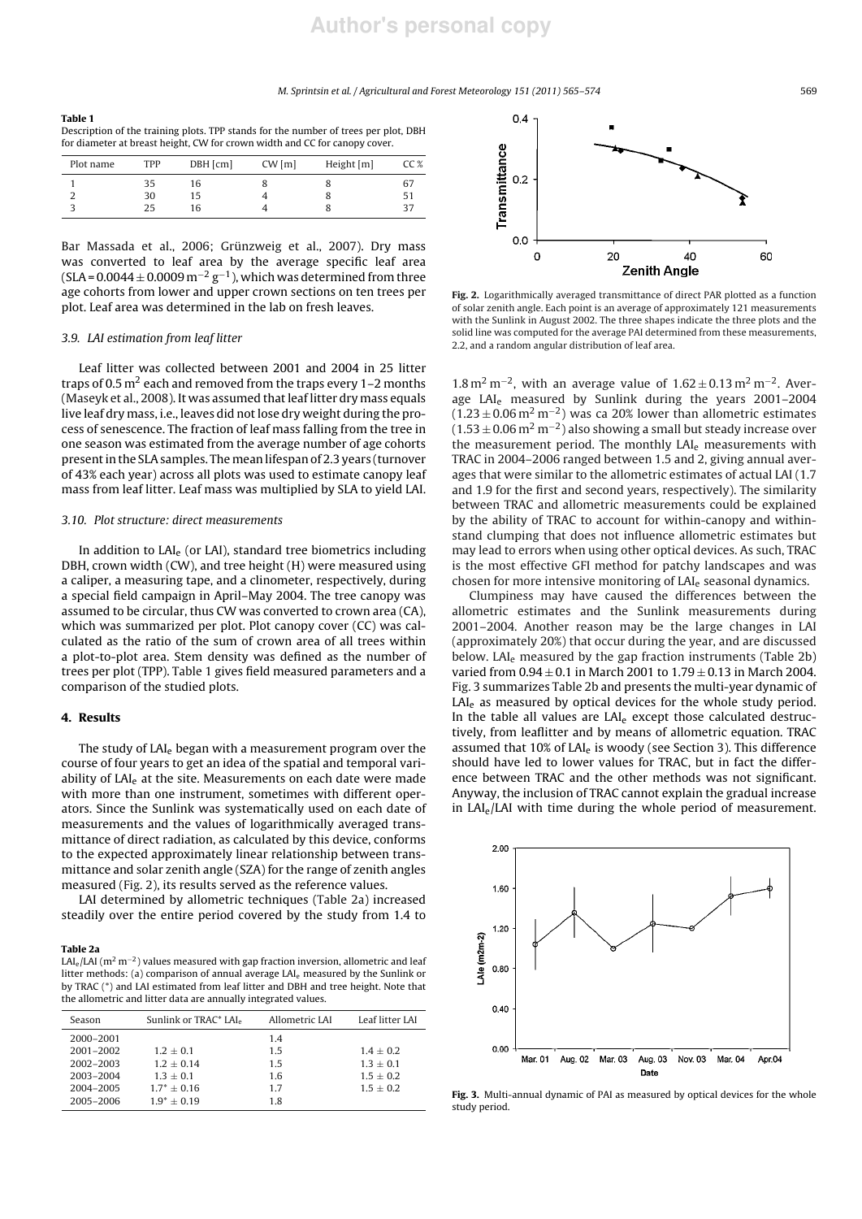## *M. Sprintsin et al. / Agricultural and Forest Meteorology 151 (2011) 565–574* 569

| Table 1                                                                             |
|-------------------------------------------------------------------------------------|
| Description of the training plots. TPP stands for the number of trees per plot, DBH |
| for diameter at breast height. CW for crown width and CC for canopy cover.          |

| Plot name | TPP | $DBH$ [cm] | CW[m] | Height [m] | CC % |
|-----------|-----|------------|-------|------------|------|
|           | 35  | 16         |       |            | 67   |
| ∠         | 30  | 15         |       |            | ו כ  |
|           | 25  | 16         |       |            |      |
|           |     |            |       |            |      |

Bar Massada et al., 2006; Grünzweig et al., 2007). Dry mass was converted to leaf area by the average specific leaf area (SLA =  $0.0044 \pm 0.0009$  m<sup>-2</sup> g<sup>-1</sup>), which was determined from three age cohorts from lower and upper crown sections on ten trees per plot. Leaf area was determined in the lab on fresh leaves.

#### *3.9. LAI estimation from leaf litter*

Leaf litter was collected between 2001 and 2004 in 25 litter traps of 0.5  $m<sup>2</sup>$  each and removed from the traps every 1–2 months (Maseyk et al., 2008). It was assumed that leaf litter dry mass equals live leaf dry mass, i.e., leaves did not lose dry weight during the process of senescence. The fraction of leaf mass falling from the tree in one season was estimated from the average number of age cohorts present in the SLA samples. The mean lifespan of 2.3 years (turnover of 43% each year) across all plots was used to estimate canopy leaf mass from leaf litter. Leaf mass was multiplied by SLA to yield LAI.

## *3.10. Plot structure: direct measurements*

In addition to LAI<sub>e</sub> (or LAI), standard tree biometrics including DBH, crown width (CW), and tree height (H) were measured using a caliper, a measuring tape, and a clinometer, respectively, during a special field campaign in April–May 2004. The tree canopy was assumed to be circular, thus CW was converted to crown area (CA), which was summarized per plot. Plot canopy cover (CC) was calculated as the ratio of the sum of crown area of all trees within a plot-to-plot area. Stem density was defined as the number of trees per plot (TPP). Table 1 gives field measured parameters and a comparison of the studied plots.

# 4. Results

The study of LAI<sub>e</sub> began with a measurement program over the course of four years to get an idea of the spatial and temporal variability of LAI<sub>e</sub> at the site. Measurements on each date were made with more than one instrument, sometimes with different operators. Since the Sunlink was systematically used on each date of measurements and the values of logarithmically averaged transmittance of direct radiation, as calculated by this device, conforms to the expected approximately linear relationship between transmittance and solar zenith angle (SZA) for the range of zenith angles measured (Fig. 2), its results served as the reference values.

LAI determined by allometric techniques (Table 2a) increased steadily over the entire period covered by the study from 1.4 to

#### Table 2a

LAI<sub>e</sub>/LAI (m<sup>2</sup> m<sup>−2</sup>) values measured with gap fraction inversion, allometric and leaf litter methods: (a) comparison of annual average LAI<sup>e</sup> measured by the Sunlink or by TRAC (\*) and LAI estimated from leaf litter and DBH and tree height. Note that the allometric and litter data are annually integrated values.

| Season    | Sunlink or TRAC* LAI. | Allometric LAI | Leaf litter LAI |
|-----------|-----------------------|----------------|-----------------|
| 2000-2001 |                       | 1.4            |                 |
| 2001-2002 | $1.2 + 0.1$           | 1.5            | $1.4 + 0.2$     |
| 2002-2003 | $1.2 + 0.14$          | 1.5            | $1.3 + 0.1$     |
| 2003-2004 | $1.3 + 0.1$           | 1.6            | $1.5 + 0.2$     |
| 2004-2005 | $1.7^* + 0.16$        | 1.7            | $1.5 + 0.2$     |
| 2005-2006 | $1.9^* + 0.19$        | 1.8            |                 |



Fig. 2. Logarithmically averaged transmittance of direct PAR plotted as a function of solar zenith angle. Each point is an average of approximately 121 measurements with the Sunlink in August 2002. The three shapes indicate the three plots and the solid line was computed for the average PAI determined from these measurements, 2.2, and a random angular distribution of leaf area.

1.8 m<sup>2</sup> m<sup>-2</sup>, with an average value of 1.62 ± 0.13 m<sup>2</sup> m<sup>-2</sup>. Average LAI<sup>e</sup> measured by Sunlink during the years 2001–2004  $(1.23 \pm 0.06 \,\mathrm{m^2\,m^{-2}})$  was ca 20% lower than allometric estimates  $(1.53 \pm 0.06 \,\mathrm{m^2\,m^{-2}})$  also showing a small but steady increase over the measurement period. The monthly LAI<sub>e</sub> measurements with TRAC in 2004–2006 ranged between 1.5 and 2, giving annual averages that were similar to the allometric estimates of actual LAI (1.7 and 1.9 for the first and second years, respectively). The similarity between TRAC and allometric measurements could be explained by the ability of TRAC to account for within-canopy and withinstand clumping that does not influence allometric estimates but may lead to errors when using other optical devices. As such, TRAC is the most effective GFI method for patchy landscapes and was chosen for more intensive monitoring of LAI<sup>e</sup> seasonal dynamics.

Clumpiness may have caused the differences between the allometric estimates and the Sunlink measurements during 2001–2004. Another reason may be the large changes in LAI (approximately 20%) that occur during the year, and are discussed below. LAI<sub>e</sub> measured by the gap fraction instruments (Table 2b) varied from  $0.94 \pm 0.1$  in March 2001 to  $1.79 \pm 0.13$  in March 2004. Fig. 3 summarizes Table 2b and presents the multi-year dynamic of LAI<sub>e</sub> as measured by optical devices for the whole study period. In the table all values are LAI<sub>e</sub> except those calculated destructively, from leaflitter and by means of allometric equation. TRAC assumed that 10% of LAI $_{e}$  is woody (see Section 3). This difference should have led to lower values for TRAC, but in fact the difference between TRAC and the other methods was not significant. Anyway, the inclusion of TRAC cannot explain the gradual increase in LAI<sub>e</sub>/LAI with time during the whole period of measurement.



Fig. 3. Multi-annual dynamic of PAI as measured by optical devices for the whole study period.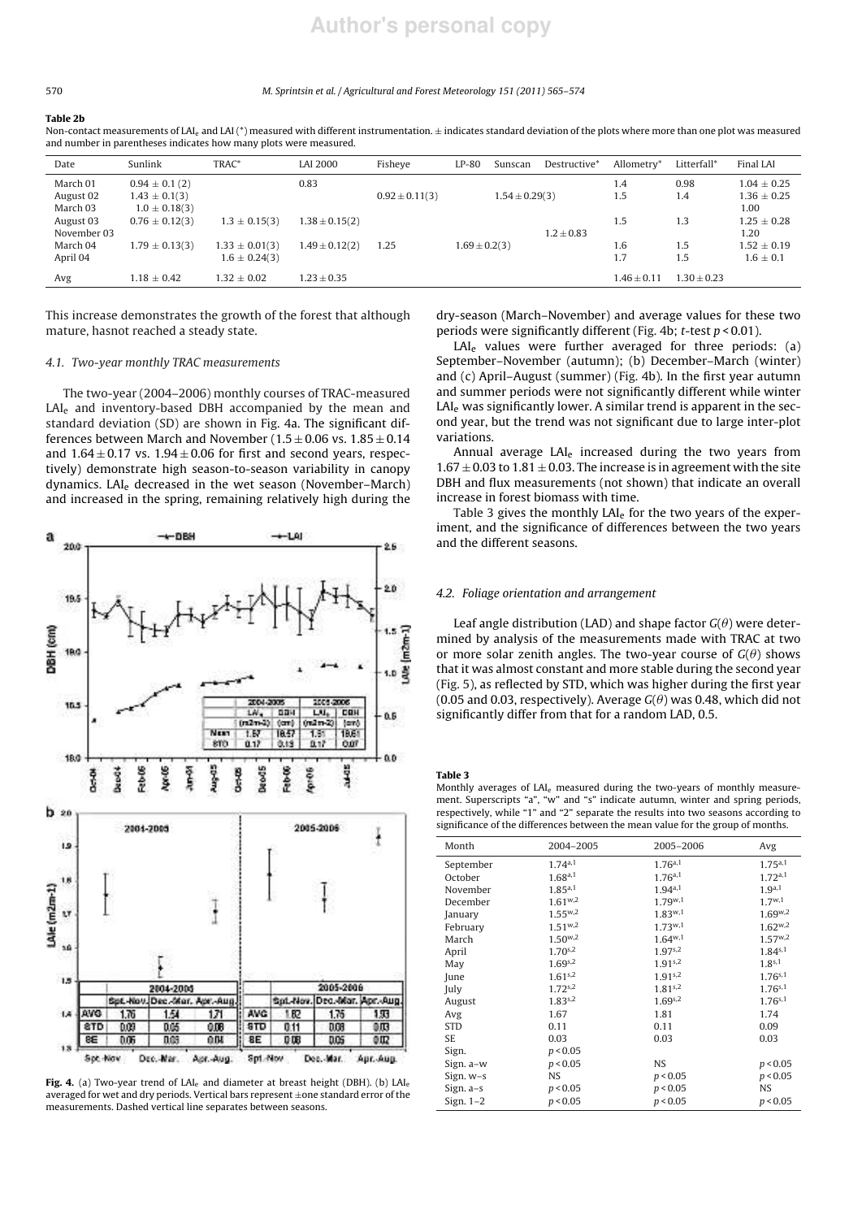# **Author's personal copy**

#### 570 *M. Sprintsin et al. / Agricultural and Forest Meteorology 151 (2011) 565–574*

#### Table 2b

Non-contact measurements of LAL, and LAI (\*) measured with different instrumentation. + indicates standard deviation of the plots where more than one plot was measured and number in parentheses indicates how many plots were measured.

| Date        | Sunlink            | TRAC*              | LAI 2000           | Fisheye            | $LP-80$           | Sunscan            | Destructive*   | Allometry*      | Litterfall*   | Final LAI       |
|-------------|--------------------|--------------------|--------------------|--------------------|-------------------|--------------------|----------------|-----------------|---------------|-----------------|
| March 01    | $0.94 \pm 0.1(2)$  |                    | 0.83               |                    |                   |                    |                | 1.4             | 0.98          | $1.04 + 0.25$   |
| August 02   | $1.43 \pm 0.1(3)$  |                    |                    | $0.92 \pm 0.11(3)$ |                   | $1.54 \pm 0.29(3)$ |                | 1.5             | 1.4           | $1.36 \pm 0.25$ |
| March 03    | $1.0 \pm 0.18(3)$  |                    |                    |                    |                   |                    |                |                 |               | 1.00            |
| August 03   | $0.76 \pm 0.12(3)$ | $1.3 \pm 0.15(3)$  | $1.38 \pm 0.15(2)$ |                    |                   |                    |                | 1.5             | 1.3           | $1.25 + 0.28$   |
| November 03 |                    |                    |                    |                    |                   |                    | $1.2 \pm 0.83$ |                 |               | 1.20            |
| March 04    | $1.79 \pm 0.13(3)$ | $1.33 \pm 0.01(3)$ | $1.49 \pm 0.12(2)$ | 1.25               | $1.69 \pm 0.2(3)$ |                    |                | 1.6             | 1.5           | $1.52 \pm 0.19$ |
| April 04    |                    | $1.6 \pm 0.24(3)$  |                    |                    |                   |                    |                | 1.7             | 1.5           | $1.6 \pm 0.1$   |
| Avg         | $1.18 + 0.42$      | $1.32 + 0.02$      | $1.23 \pm 0.35$    |                    |                   |                    |                | $1.46 \pm 0.11$ | $1.30 + 0.23$ |                 |

This increase demonstrates the growth of the forest that although mature, hasnot reached a steady state.

# *4.1. Two-year monthly TRAC measurements*

The two-year (2004–2006) monthly courses of TRAC-measured LAI<sub>e</sub> and inventory-based DBH accompanied by the mean and standard deviation (SD) are shown in Fig. 4a. The significant differences between March and November ( $1.5 \pm 0.06$  vs.  $1.85 \pm 0.14$ and  $1.64 \pm 0.17$  vs.  $1.94 \pm 0.06$  for first and second years, respectively) demonstrate high season-to-season variability in canopy dynamics. LAI<sup>e</sup> decreased in the wet season (November–March) and increased in the spring, remaining relatively high during the



Fig. 4. (a) Two-year trend of LAI<sub>e</sub> and diameter at breast height (DBH). (b) LAI<sub>e</sub> averaged for wet and dry periods. Vertical bars represent  $\pm$ one standard error of the measurements. Dashed vertical line separates between seasons.

dry-season (March–November) and average values for these two periods were significantly different (Fig. 4b; *t*-test *p* < 0.01).

 $LAI<sub>e</sub>$  values were further averaged for three periods: (a) September–November (autumn); (b) December–March (winter) and (c) April–August (summer) (Fig. 4b). In the first year autumn and summer periods were not significantly different while winter  $LAI<sub>e</sub>$  was significantly lower. A similar trend is apparent in the second year, but the trend was not significant due to large inter-plot variations.

Annual average LAI<sub>e</sub> increased during the two years from  $1.67 \pm 0.03$  to  $1.81 \pm 0.03$ . The increase is in agreement with the site DBH and flux measurements (not shown) that indicate an overall increase in forest biomass with time.

Table 3 gives the monthly LAI<sub>e</sub> for the two years of the experiment, and the significance of differences between the two years and the different seasons.

# *4.2. Foliage orientation and arrangement*

Leaf angle distribution (LAD) and shape factor  $G(\theta)$  were determined by analysis of the measurements made with TRAC at two or more solar zenith angles. The two-year course of  $G(\theta)$  shows that it was almost constant and more stable during the second year (Fig. 5), as reflected by STD, which was higher during the first year (0.05 and 0.03, respectively). Average  $G(\theta)$  was 0.48, which did not significantly differ from that for a random LAD, 0.5.

Table 3

Monthly averages of LAI<sup>e</sup> measured during the two-years of monthly measurement. Superscripts "a", "w" and "s" indicate autumn, winter and spring periods, respectively, while "1" and "2" separate the results into two seasons according to significance of the differences between the mean value for the group of months.

| Month       | 2004-2005    | 2005-2006           | Avg                |
|-------------|--------------|---------------------|--------------------|
| September   | 1.74a,1      | 1.76a,1             | 1.75a,1            |
| October     | 1.68a,1      | $1.76^{a,1}$        | 1.72a,1            |
| November    | $1.85^{a,1}$ | $1.94^{a,1}$        | 1.9 <sup>a,1</sup> |
| December    | $1.61^{w,2}$ | $1.79^{w,1}$        | $1.7^{w,1}$        |
| January     | $1.55^{w,2}$ | $1.83^{w,1}$        | $1.69^{w,2}$       |
| February    | $1.51^{w,2}$ | $1.73^{w,1}$        | $1.62^{w,2}$       |
| March       | $1.50^{w,2}$ | $1.64^{w,1}$        | $1.57^{w,2}$       |
| April       | $1.70^{s,2}$ | $1.97^{s,2}$        | $1.84^{s,1}$       |
| May         | $1.69^{s,2}$ | 1.91 <sub>s,2</sub> | $1.8^{s,1}$        |
| June        | $1.61^{s,2}$ | 1.91 <sub>s,2</sub> | $1.76^{s,1}$       |
| July        | $1.72^{s,2}$ | $1.81^{s,2}$        | $1.76^{s,1}$       |
| August      | $1.83^{s,2}$ | $1.69^{s,2}$        | $1.76^{s,1}$       |
| Avg         | 1.67         | 1.81                | 1.74               |
| <b>STD</b>  | 0.11         | 0.11                | 0.09               |
| <b>SE</b>   | 0.03         | 0.03                | 0.03               |
| Sign.       | p < 0.05     |                     |                    |
| Sign. a-w   | p < 0.05     | NS.                 | p < 0.05           |
| Sign. w-s   | NS.          | p < 0.05            | p < 0.05           |
| Sign. a-s   | p < 0.05     | p < 0.05            | NS                 |
| Sign. $1-2$ | p < 0.05     | p < 0.05            | p < 0.05           |
|             |              |                     |                    |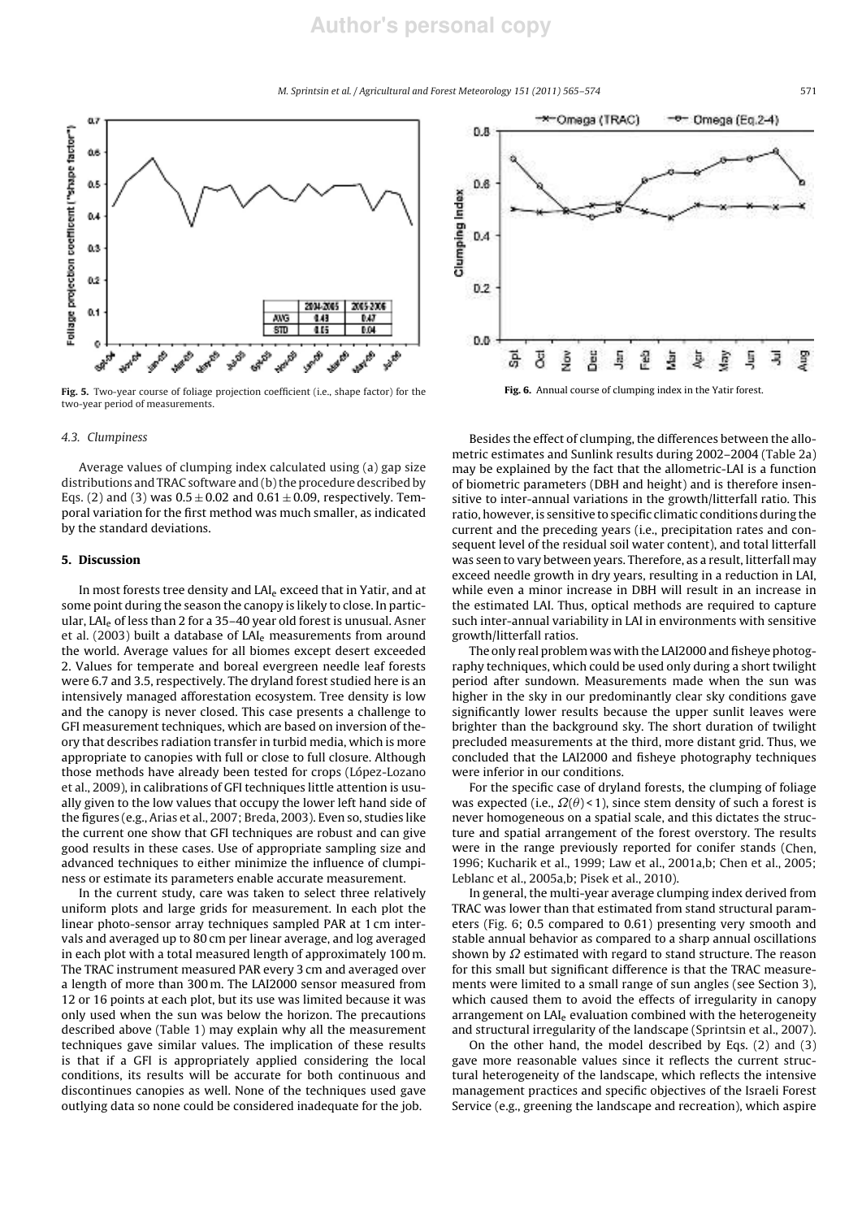# **Author's personal copy**

*M. Sprintsin et al. / Agricultural and Forest Meteorology 151 (2011) 565–574* 571



Fig. 5. Two-year course of foliage projection coefficient (i.e., shape factor) for the two-year period of measurements.

# *4.3. Clumpiness*

Average values of clumping index calculated using (a) gap size distributions and TRAC software and (b) the procedure described by Eqs. (2) and (3) was  $0.5 \pm 0.02$  and  $0.61 \pm 0.09$ , respectively. Temporal variation for the first method was much smaller, as indicated by the standard deviations.

# 5. Discussion

In most forests tree density and LAI<sup>e</sup> exceed that in Yatir, and at some point during the season the canopy is likely to close. In particular, LAI<sub>e</sub> of less than 2 for a 35-40 year old forest is unusual. Asner et al. (2003) built a database of  $LAI<sub>e</sub>$  measurements from around the world. Average values for all biomes except desert exceeded 2. Values for temperate and boreal evergreen needle leaf forests were 6.7 and 3.5, respectively. The dryland forest studied here is an intensively managed afforestation ecosystem. Tree density is low and the canopy is never closed. This case presents a challenge to GFI measurement techniques, which are based on inversion of theory that describes radiation transfer in turbid media, which is more appropriate to canopies with full or close to full closure. Although those methods have already been tested for crops (López-Lozano et al., 2009), in calibrations of GFI techniques little attention is usually given to the low values that occupy the lower left hand side of the figures (e.g., Arias et al., 2007; Breda, 2003). Even so, studies like the current one show that GFI techniques are robust and can give good results in these cases. Use of appropriate sampling size and advanced techniques to either minimize the influence of clumpiness or estimate its parameters enable accurate measurement.

In the current study, care was taken to select three relatively uniform plots and large grids for measurement. In each plot the linear photo-sensor array techniques sampled PAR at 1 cm intervals and averaged up to 80 cm per linear average, and log averaged in each plot with a total measured length of approximately 100 m. The TRAC instrument measured PAR every 3 cm and averaged over a length of more than 300 m. The LAI2000 sensor measured from 12 or 16 points at each plot, but its use was limited because it was only used when the sun was below the horizon. The precautions described above (Table 1) may explain why all the measurement techniques gave similar values. The implication of these results is that if a GFI is appropriately applied considering the local conditions, its results will be accurate for both continuous and discontinues canopies as well. None of the techniques used gave outlying data so none could be considered inadequate for the job.



Fig. 6. Annual course of clumping index in the Yatir forest.

Besides the effect of clumping, the differences between the allometric estimates and Sunlink results during 2002–2004 (Table 2a) may be explained by the fact that the allometric-LAI is a function of biometric parameters (DBH and height) and is therefore insensitive to inter-annual variations in the growth/litterfall ratio. This ratio, however, is sensitive to specific climatic conditions during the current and the preceding years (i.e., precipitation rates and consequent level of the residual soil water content), and total litterfall was seen to vary between years. Therefore, as a result, litterfall may exceed needle growth in dry years, resulting in a reduction in LAI, while even a minor increase in DBH will result in an increase in the estimated LAI. Thus, optical methods are required to capture such inter-annual variability in LAI in environments with sensitive growth/litterfall ratios.

The only real problem was with the LAI2000 and fisheye photography techniques, which could be used only during a short twilight period after sundown. Measurements made when the sun was higher in the sky in our predominantly clear sky conditions gave significantly lower results because the upper sunlit leaves were brighter than the background sky. The short duration of twilight precluded measurements at the third, more distant grid. Thus, we concluded that the LAI2000 and fisheye photography techniques were inferior in our conditions.

For the specific case of dryland forests, the clumping of foliage was expected (i.e.,  $\Omega(\theta)$  < 1), since stem density of such a forest is never homogeneous on a spatial scale, and this dictates the structure and spatial arrangement of the forest overstory. The results were in the range previously reported for conifer stands (Chen, 1996; Kucharik et al., 1999; Law et al., 2001a,b; Chen et al., 2005; Leblanc et al., 2005a,b; Pisek et al., 2010).

In general, the multi-year average clumping index derived from TRAC was lower than that estimated from stand structural parameters (Fig. 6; 0.5 compared to 0.61) presenting very smooth and stable annual behavior as compared to a sharp annual oscillations shown by  $\Omega$  estimated with regard to stand structure. The reason for this small but significant difference is that the TRAC measurements were limited to a small range of sun angles (see Section 3), which caused them to avoid the effects of irregularity in canopy arrangement on LAI<sub>e</sub> evaluation combined with the heterogeneity and structural irregularity of the landscape (Sprintsin et al., 2007).

On the other hand, the model described by Eqs. (2) and (3) gave more reasonable values since it reflects the current structural heterogeneity of the landscape, which reflects the intensive management practices and specific objectives of the Israeli Forest Service (e.g., greening the landscape and recreation), which aspire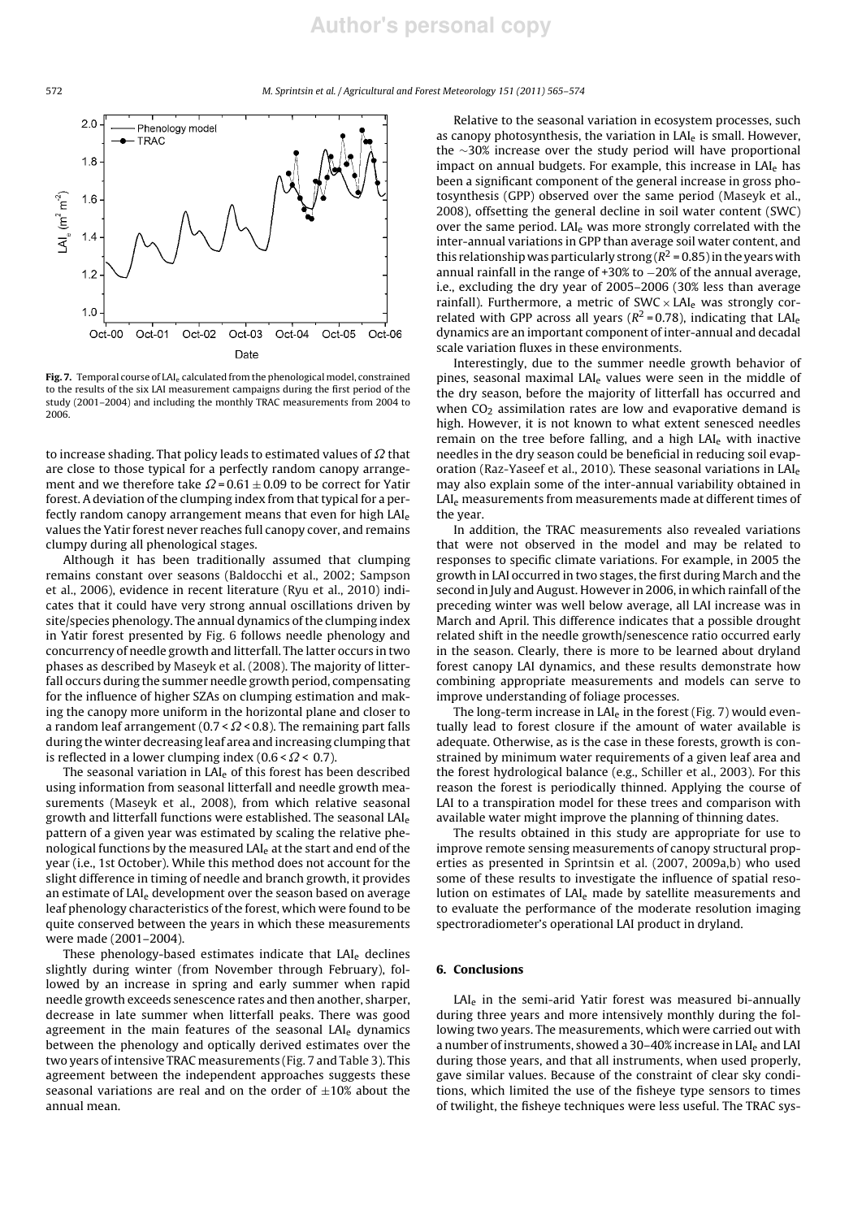572 *M. Sprintsin et al. / Agricultural and Forest Meteorology 151 (2011) 565–574*



Fig. 7. Temporal course of  $LAI_e$  calculated from the phenological model, constrained to the results of the six LAI measurement campaigns during the first period of the study (2001–2004) and including the monthly TRAC measurements from 2004 to 2006.

to increase shading. That policy leads to estimated values of  $\Omega$  that are close to those typical for a perfectly random canopy arrangement and we therefore take  $\Omega$  = 0.61  $\pm$  0.09 to be correct for Yatir forest. A deviation of the clumping index from that typical for a perfectly random canopy arrangement means that even for high LAI<sub>e</sub> values the Yatir forest never reaches full canopy cover, and remains clumpy during all phenological stages.

Although it has been traditionally assumed that clumping remains constant over seasons (Baldocchi et al., 2002; Sampson et al., 2006), evidence in recent literature (Ryu et al., 2010) indicates that it could have very strong annual oscillations driven by site/species phenology. The annual dynamics of the clumping index in Yatir forest presented by Fig. 6 follows needle phenology and concurrency of needle growth and litterfall. The latter occurs in two phases as described by Maseyk et al. (2008). The majority of litterfall occurs during the summer needle growth period, compensating for the influence of higher SZAs on clumping estimation and making the canopy more uniform in the horizontal plane and closer to a random leaf arrangement ( $0.7 < \Omega < 0.8$ ). The remaining part falls during the winter decreasing leaf area and increasing clumping that is reflected in a lower clumping index  $(0.6 < \Omega < 0.7)$ .

The seasonal variation in LAI<sub>e</sub> of this forest has been described using information from seasonal litterfall and needle growth measurements (Maseyk et al., 2008), from which relative seasonal growth and litterfall functions were established. The seasonal LAI<sup>e</sup> pattern of a given year was estimated by scaling the relative phenological functions by the measured LAI<sub>e</sub> at the start and end of the year (i.e., 1st October). While this method does not account for the slight difference in timing of needle and branch growth, it provides an estimate of  $LAI<sub>e</sub>$  development over the season based on average leaf phenology characteristics of the forest, which were found to be quite conserved between the years in which these measurements were made (2001–2004).

These phenology-based estimates indicate that LAI<sub>e</sub> declines slightly during winter (from November through February), followed by an increase in spring and early summer when rapid needle growth exceeds senescence rates and then another, sharper, decrease in late summer when litterfall peaks. There was good agreement in the main features of the seasonal  $LAI<sub>e</sub>$  dynamics between the phenology and optically derived estimates over the two years of intensive TRAC measurements (Fig. 7 and Table 3). This agreement between the independent approaches suggests these seasonal variations are real and on the order of  $\pm 10\%$  about the annual mean.

Relative to the seasonal variation in ecosystem processes, such as canopy photosynthesis, the variation in LAI<sub>e</sub> is small. However, the ∼30% increase over the study period will have proportional impact on annual budgets. For example, this increase in LAI<sub>e</sub> has been a significant component of the general increase in gross photosynthesis (GPP) observed over the same period (Maseyk et al., 2008), offsetting the general decline in soil water content (SWC) over the same period. LAI<sub>e</sub> was more strongly correlated with the inter-annual variations in GPP than average soil water content, and this relationship was particularly strong  $(R^2 = 0.85)$  in the years with annual rainfall in the range of +30% to −20% of the annual average, i.e., excluding the dry year of 2005–2006 (30% less than average rainfall). Furthermore, a metric of  $SWC \times LAI_e$  was strongly correlated with GPP across all years ( $R^2$  = 0.78), indicating that LAI<sub>e</sub> dynamics are an important component of inter-annual and decadal scale variation fluxes in these environments.

Interestingly, due to the summer needle growth behavior of pines, seasonal maximal LAI<sub>e</sub> values were seen in the middle of the dry season, before the majority of litterfall has occurred and when  $CO<sub>2</sub>$  assimilation rates are low and evaporative demand is high. However, it is not known to what extent senesced needles remain on the tree before falling, and a high LAI<sup>e</sup> with inactive needles in the dry season could be beneficial in reducing soil evaporation (Raz-Yaseef et al., 2010). These seasonal variations in LAI<sub>e</sub> may also explain some of the inter-annual variability obtained in LAI<sub>e</sub> measurements from measurements made at different times of the year.

In addition, the TRAC measurements also revealed variations that were not observed in the model and may be related to responses to specific climate variations. For example, in 2005 the growth in LAI occurred in two stages, the first during March and the second in July and August. However in 2006, in which rainfall of the preceding winter was well below average, all LAI increase was in March and April. This difference indicates that a possible drought related shift in the needle growth/senescence ratio occurred early in the season. Clearly, there is more to be learned about dryland forest canopy LAI dynamics, and these results demonstrate how combining appropriate measurements and models can serve to improve understanding of foliage processes.

The long-term increase in  $LAI<sub>e</sub>$  in the forest (Fig. 7) would eventually lead to forest closure if the amount of water available is adequate. Otherwise, as is the case in these forests, growth is constrained by minimum water requirements of a given leaf area and the forest hydrological balance (e.g., Schiller et al., 2003). For this reason the forest is periodically thinned. Applying the course of LAI to a transpiration model for these trees and comparison with available water might improve the planning of thinning dates.

The results obtained in this study are appropriate for use to improve remote sensing measurements of canopy structural properties as presented in Sprintsin et al. (2007, 2009a,b) who used some of these results to investigate the influence of spatial resolution on estimates of LAI<sub>e</sub> made by satellite measurements and to evaluate the performance of the moderate resolution imaging spectroradiometer's operational LAI product in dryland.

#### 6. Conclusions

LAI<sub>e</sub> in the semi-arid Yatir forest was measured bi-annually during three years and more intensively monthly during the following two years. The measurements, which were carried out with a number of instruments, showed a 30-40% increase in LAI<sub>e</sub> and LAI during those years, and that all instruments, when used properly, gave similar values. Because of the constraint of clear sky conditions, which limited the use of the fisheye type sensors to times of twilight, the fisheye techniques were less useful. The TRAC sys-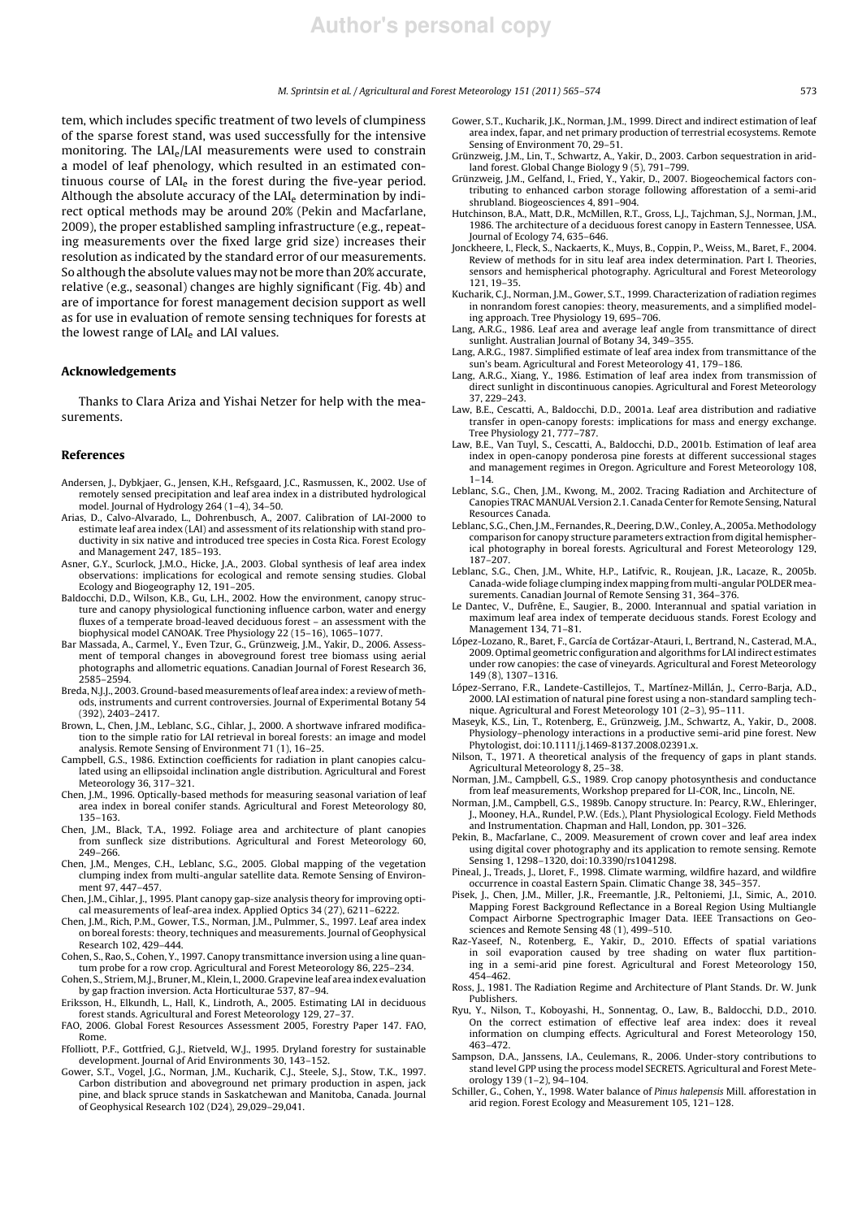#### *M. Sprintsin et al. / Agricultural and Forest Meteorology 151 (2011) 565–574* 573

tem, which includes specific treatment of two levels of clumpiness of the sparse forest stand, was used successfully for the intensive monitoring. The LAIe/LAI measurements were used to constrain a model of leaf phenology, which resulted in an estimated continuous course of LAI<sup>e</sup> in the forest during the five-year period. Although the absolute accuracy of the  $LAI<sub>e</sub>$  determination by indirect optical methods may be around 20% (Pekin and Macfarlane, 2009), the proper established sampling infrastructure (e.g., repeating measurements over the fixed large grid size) increases their resolution as indicated by the standard error of our measurements. So although the absolute values may not be more than 20% accurate, relative (e.g., seasonal) changes are highly significant (Fig. 4b) and are of importance for forest management decision support as well as for use in evaluation of remote sensing techniques for forests at the lowest range of LAI<sub>e</sub> and LAI values.

# Acknowledgements

Thanks to Clara Ariza and Yishai Netzer for help with the measurements.

#### References

- Andersen, J., Dybkjaer, G., Jensen, K.H., Refsgaard, J.C., Rasmussen, K., 2002. Use of remotely sensed precipitation and leaf area index in a distributed hydrological model. Journal of Hydrology 264 (1–4), 34–50.
- Arias, D., Calvo-Alvarado, L., Dohrenbusch, A., 2007. Calibration of LAI-2000 to estimate leaf area index (LAI) and assessment of its relationship with stand productivity in six native and introduced tree species in Costa Rica. Forest Ecology and Management 247, 185–193.
- Asner, G.Y., Scurlock, J.M.O., Hicke, J.A., 2003. Global synthesis of leaf area index observations: implications for ecological and remote sensing studies. Global Ecology and Biogeography 12, 191–205.
- Baldocchi, D.D., Wilson, K.B., Gu, L.H., 2002. How the environment, canopy structure and canopy physiological functioning influence carbon, water and energy fluxes of a temperate broad-leaved deciduous forest – an assessment with the biophysical model CANOAK. Tree Physiology 22 (15–16), 1065–1077.
- Bar Massada, A., Carmel, Y., Even Tzur, G., Grünzweig, J.M., Yakir, D., 2006. Assessment of temporal changes in aboveground forest tree biomass using aerial photographs and allometric equations. Canadian Journal of Forest Research 36, 2585–2594.
- Breda, N.J.J., 2003. Ground-based measurements of leaf area index: a review of methods, instruments and current controversies. Journal of Experimental Botany 54 (392), 2403–2417.
- Brown, L., Chen, J.M., Leblanc, S.G., Cihlar, J., 2000. A shortwave infrared modification to the simple ratio for LAI retrieval in boreal forests: an image and model analysis. Remote Sensing of Environment 71 (1), 16–25.
- Campbell, G.S., 1986. Extinction coefficients for radiation in plant canopies calculated using an ellipsoidal inclination angle distribution. Agricultural and Forest Meteorology 36, 317–321.
- Chen, J.M., 1996. Optically-based methods for measuring seasonal variation of leaf area index in boreal conifer stands. Agricultural and Forest Meteorology 80, 135–163.
- Chen, J.M., Black, T.A., 1992. Foliage area and architecture of plant canopies from sunfleck size distributions. Agricultural and Forest Meteorology 60, 249–266.
- Chen, J.M., Menges, C.H., Leblanc, S.G., 2005. Global mapping of the vegetation clumping index from multi-angular satellite data. Remote Sensing of Environment 97, 447–457.
- Chen, J.M., Cihlar, J., 1995. Plant canopy gap-size analysis theory for improving optical measurements of leaf-area index. Applied Optics 34 (27), 6211–6222.
- Chen, J.M., Rich, P.M., Gower, T.S., Norman, J.M., Pulmmer, S., 1997. Leaf area index on boreal forests: theory, techniques and measurements. Journal of Geophysical Research 102, 429–444.
- Cohen, S., Rao, S., Cohen, Y., 1997. Canopy transmittance inversion using a line quantum probe for a row crop. Agricultural and Forest Meteorology 86, 225–234.
- Cohen, S., Striem, M.J., Bruner, M., Klein, I., 2000. Grapevine leaf area index evaluation by gap fraction inversion. Acta Horticulturae 537, 87–94.
- Eriksson, H., Elkundh, L., Hall, K., Lindroth, A., 2005. Estimating LAI in deciduous forest stands. Agricultural and Forest Meteorology 129, 27–37.
- FAO, 2006. Global Forest Resources Assessment 2005, Forestry Paper 147. FAO, Rome.
- Ffolliott, P.F., Gottfried, G.J., Rietveld, W.J., 1995. Dryland forestry for sustainable development. Journal of Arid Environments 30, 143–152.
- Gower, S.T., Vogel, J.G., Norman, J.M., Kucharik, C.J., Steele, S.J., Stow, T.K., 1997. Carbon distribution and aboveground net primary production in aspen, jack pine, and black spruce stands in Saskatchewan and Manitoba, Canada. Journal of Geophysical Research 102 (D24), 29,029–29,041.
- Gower, S.T., Kucharik, J.K., Norman, J.M., 1999. Direct and indirect estimation of leaf area index, fapar, and net primary production of terrestrial ecosystems. Remote Sensing of Environment 70, 29-51.
- Grünzweig, J.M., Lin, T., Schwartz, A., Yakir, D., 2003. Carbon sequestration in aridland forest. Global Change Biology 9 (5), 791–799. Grünzweig, J.M., Gelfand, I., Fried, Y., Yakir, D., 2007. Biogeochemical factors con-
- tributing to enhanced carbon storage following afforestation of a semi-arid shrubland. Biogeosciences 4, 891–904.
- Hutchinson, B.A., Matt, D.R., McMillen, R.T., Gross, L.J., Tajchman, S.J., Norman, J.M., 1986. The architecture of a deciduous forest canopy in Eastern Tennessee, USA. Journal of Ecology 74, 635–646.
- Jonckheere, I., Fleck, S., Nackaerts, K., Muys, B., Coppin, P., Weiss, M., Baret, F., 2004. Review of methods for in situ leaf area index determination. Part I. Theories, sensors and hemispherical photography. Agricultural and Forest Meteorology 121, 19–35.
- Kucharik, C.J., Norman, J.M., Gower, S.T., 1999. Characterization of radiation regimes in nonrandom forest canopies: theory, measurements, and a simplified modeling approach. Tree Physiology 19, 695–706.
- Lang, A.R.G., 1986. Leaf area and average leaf angle from transmittance of direct sunlight. Australian Journal of Botany 34, 349–355.
- Lang, A.R.G., 1987. Simplified estimate of leaf area index from transmittance of the sun's beam. Agricultural and Forest Meteorology 41, 179–186.
- Lang, A.R.G., Xiang, Y., 1986. Estimation of leaf area index from transmission of direct sunlight in discontinuous canopies. Agricultural and Forest Meteorology 37, 229–243.
- Law, B.E., Cescatti, A., Baldocchi, D.D., 2001a. Leaf area distribution and radiative transfer in open-canopy forests: implications for mass and energy exchange. Tree Physiology 21, 777–787.
- Law, B.E., Van Tuyl, S., Cescatti, A., Baldocchi, D.D., 2001b. Estimation of leaf area index in open-canopy ponderosa pine forests at different successional stages and management regimes in Oregon. Agriculture and Forest Meteorology 108,  $1 - 14.$
- Leblanc, S.G., Chen, J.M., Kwong, M., 2002. Tracing Radiation and Architecture of Canopies TRAC MANUAL Version 2.1. Canada Center for Remote Sensing, Natural Resources Canada.
- Leblanc, S.G., Chen, J.M., Fernandes, R., Deering, D.W., Conley, A., 2005a. Methodology comparison for canopy structure parameters extraction from digital hemispherical photography in boreal forests. Agricultural and Forest Meteorology 129, 187–207.
- Leblanc, S.G., Chen, J.M., White, H.P., Latifvic, R., Roujean, J.R., Lacaze, R., 2005b. Canada-wide foliage clumping index mapping from multi-angular POLDER measurements. Canadian Journal of Remote Sensing 31, 364–376.
- Le Dantec, V., Dufrêne, E., Saugier, B., 2000. Interannual and spatial variation in maximum leaf area index of temperate deciduous stands. Forest Ecology and Management 134, 71–81.
- López-Lozano, R., Baret, F., García de Cortázar-Atauri, I., Bertrand, N., Casterad, M.A., 2009. Optimal geometric configuration and algorithms for LAI indirect estimates under row canopies: the case of vineyards. Agricultural and Forest Meteorology 149 (8), 1307–1316.
- López-Serrano, F.R., Landete-Castillejos, T., Martínez-Millán, J., Cerro-Barja, A.D., 2000. LAI estimation of natural pine forest using a non-standard sampling technique. Agricultural and Forest Meteorology 101 (2–3), 95–111.
- Maseyk, K.S., Lin, T., Rotenberg, E., Grünzweig, J.M., Schwartz, A., Yakir, D., 2008. Physiology–phenology interactions in a productive semi-arid pine forest. New Phytologist, doi:10.1111/j.1469-8137.2008.02391.x.
- Nilson, T., 1971. A theoretical analysis of the frequency of gaps in plant stands. Agricultural Meteorology 8, 25–38.
- Norman, J.M., Campbell, G.S., 1989. Crop canopy photosynthesis and conductance from leaf measurements, Workshop prepared for LI-COR, Inc., Lincoln, NE.
- Norman, J.M., Campbell, G.S., 1989b. Canopy structure. In: Pearcy, R.W., Ehleringer, J., Mooney, H.A., Rundel, P.W. (Eds.), Plant Physiological Ecology. Field Methods and Instrumentation. Chapman and Hall, London, pp. 301–326.
- Pekin, B., Macfarlane, C., 2009. Measurement of crown cover and leaf area index using digital cover photography and its application to remote sensing. Remote Sensing 1, 1298–1320, doi:10.3390/rs1041298.
- Pineal, J., Treads, J., Lloret, F., 1998. Climate warming, wildfire hazard, and wildfire occurrence in coastal Eastern Spain. Climatic Change 38, 345–357.
- Pisek, J., Chen, J.M., Miller, J.R., Freemantle, J.R., Peltoniemi, J.I., Simic, A., 2010. Mapping Forest Background Reflectance in a Boreal Region Using Multiangle Compact Airborne Spectrographic Imager Data. IEEE Transactions on Geosciences and Remote Sensing 48 (1), 499–510.
- Raz-Yaseef, N., Rotenberg, E., Yakir, D., 2010. Effects of spatial variations in soil evaporation caused by tree shading on water flux partitioning in a semi-arid pine forest. Agricultural and Forest Meteorology 150, 454–462.
- Ross, J., 1981. The Radiation Regime and Architecture of Plant Stands. Dr. W. Junk Publishers.
- Ryu, Y., Nilson, T., Koboyashi, H., Sonnentag, O., Law, B., Baldocchi, D.D., 2010. On the correct estimation of effective leaf area index: does it reveal information on clumping effects. Agricultural and Forest Meteorology 150, 463–472.
- Sampson, D.A., Janssens, I.A., Ceulemans, R., 2006. Under-story contributions to stand level GPP using the process model SECRETS. Agricultural and Forest Meteorology 139 (1–2), 94–104.
- Schiller, G., Cohen, Y., 1998. Water balance of *Pinus halepensis* Mill. afforestation in arid region. Forest Ecology and Measurement 105, 121–128.